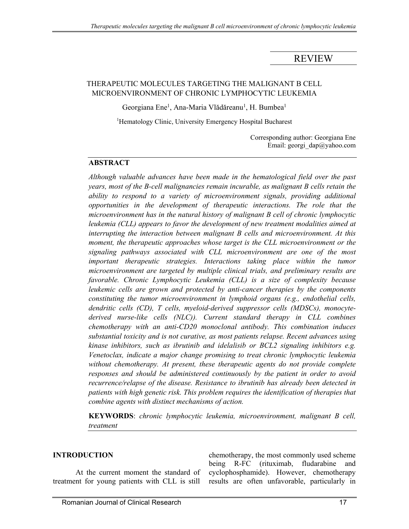# REVIEW

### THERAPEUTIC MOLECULES TARGETING THE MALIGNANT B CELL MICROENVIRONMENT OF CHRONIC LYMPHOCYTIC LEUKEMIA

Georgiana Ene<sup>1</sup>, Ana-Maria Vlădăreanu<sup>1</sup>, H. Bumbea<sup>1</sup>

<sup>1</sup>Hematology Clinic, University Emergency Hospital Bucharest

Corresponding author: Georgiana Ene Email: georgi\_dap@yahoo.com

#### **ABSTRACT**

*Although valuable advances have been made in the hematological field over the past years, most of the B-cell malignancies remain incurable, as malignant B cells retain the ability to respond to a variety of microenvironment signals, providing additional opportunities in the development of therapeutic interactions. The role that the microenvironment has in the natural history of malignant B cell of chronic lymphocytic leukemia (CLL) appears to favor the development of new treatment modalities aimed at interrupting the interaction between malignant B cells and microenvironment. At this moment, the therapeutic approaches whose target is the CLL microenvironment or the signaling pathways associated with CLL microenvironment are one of the most important therapeutic strategies. Interactions taking place within the tumor microenvironment are targeted by multiple clinical trials, and preliminary results are favorable. Chronic Lymphocytic Leukemia (CLL) is a size of complexity because leukemic cells are grown and protected by anti-cancer therapies by the components constituting the tumor microenvironment in lymphoid organs (e.g., endothelial cells, dendritic cells (CD), T cells, myeloid-derived suppressor cells (MDSCs), monocytederived nurse-like cells (NLC)). Current standard therapy in CLL combines chemotherapy with an anti-CD20 monoclonal antibody. This combination induces substantial toxicity and is not curative, as most patients relapse. Recent advances using kinase inhibitors, such as ibrutinib and idelalisib or BCL2 signaling inhibitors e.g. Venetoclax, indicate a major change promising to treat chronic lymphocytic leukemia without chemotherapy. At present, these therapeutic agents do not provide complete responses and should be administered continuously by the patient in order to avoid recurrence/relapse of the disease. Resistance to ibrutinib has already been detected in patients with high genetic risk. This problem requires the identification of therapies that combine agents with distinct mechanisms of action.* 

**KEYWORDS**: *chronic lymphocytic leukemia, microenvironment, malignant B cell, treatment*

#### **INTRODUCTION**

At the current moment the standard of treatment for young patients with CLL is still

chemotherapy, the most commonly used scheme being R-FC (rituximab, fludarabine and cyclophosphamide). However, chemotherapy results are often unfavorable, particularly in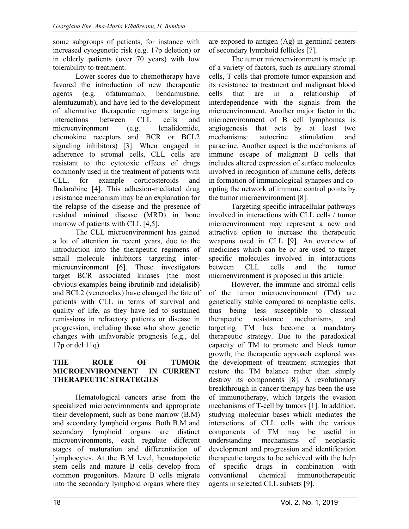some subgroups of patients, for instance with increased cytogenetic risk (e.g. 17p deletion) or in elderly patients (over 70 years) with low tolerability to treatment.

Lower scores due to chemotherapy have favored the introduction of new therapeutic agents (e.g. ofatumumab, bendamustine, alemtuzumab), and have led to the development of alternative therapeutic regimens targeting interactions between CLL cells and microenvironment (e.g. lenalidomide, chemokine receptors and BCR or BCL2 signaling inhibitors) [3]. When engaged in adherence to stromal cells, CLL cells are resistant to the cytotoxic effects of drugs commonly used in the treatment of patients with CLL, for example corticosteroids and fludarabine [4]. This adhesion-mediated drug resistance mechanism may be an explanation for the relapse of the disease and the presence of residual minimal disease (MRD) in bone marrow of patients with CLL [4,5].

The CLL microenvironment has gained a lot of attention in recent years, due to the introduction into the therapeutic regimens of small molecule inhibitors targeting intermicroenvironment [6]. These investigators target BCR associated kinases (the most obvious examples being ibrutinib and idelalisib) and BCL2 (venetoclax) have changed the fate of patients with CLL in terms of survival and quality of life, as they have led to sustained remissions in refractory patients or disease in progression, including those who show genetic changes with unfavorable prognosis (e.g., del 17p or del 11q).

### **THE ROLE OF TUMOR MICROENVIROMNENT IN CURRENT THERAPEUTIC STRATEGIES**

 Hematological cancers arise from the specialized microenvironments and appropriate their development, such as bone marrow (B.M) and secondary lymphoid organs. Both B.M and secondary lymphoid organs are distinct microenvironments, each regulate different stages of maturation and differentiation of lymphocytes. At the B.M level, hematopoietic stem cells and mature B cells develop from common progenitors. Mature B cells migrate into the secondary lymphoid organs where they

are exposed to antigen (Ag) in germinal centers of secondary lymphoid follicles [7].

 The tumor microenvironment is made up of a variety of factors, such as auxiliary stromal cells, T cells that promote tumor expansion and its resistance to treatment and malignant blood cells that are in a relationship interdependence with the signals from the microenvironment. Another major factor in the microenvironment of B cell lymphomas is angiogenesis that acts by at least two mechanisms: autocrine stimulation and paracrine. Another aspect is the mechanisms of immune escape of malignant B cells that includes altered expression of surface molecules involved in recognition of immune cells, defects in formation of immunological synapses and coopting the network of immune control points by the tumor microenvironment [8].

 Targeting specific intracellular pathways involved in interactions with CLL cells / tumor microenvironment may represent a new and attractive option to increase the therapeutic weapons used in CLL [9]. An overview of medicines which can be or are used to target specific molecules involved in interactions between CLL cells and the tumor microenvironment is proposed in this article.

 However, the immune and stromal cells of the tumor microenvironment (TM) are genetically stable compared to neoplastic cells, thus being less susceptible to classical therapeutic resistance mechanisms, and targeting TM has become a mandatory therapeutic strategy. Due to the paradoxical capacity of TM to promote and block tumor growth, the therapeutic approach explored was the development of treatment strategies that restore the TM balance rather than simply destroy its components [8]. A revolutionary breakthrough in cancer therapy has been the use of immunotherapy, which targets the evasion mechanisms of T-cell by tumors [1]. In addition, studying molecular bases which mediates the interactions of CLL cells with the various components of TM may be useful in understanding mechanisms of neoplastic development and progression and identification therapeutic targets to be achieved with the help of specific drugs in combination with conventional chemical immunotherapeutic agents in selected CLL subsets [9].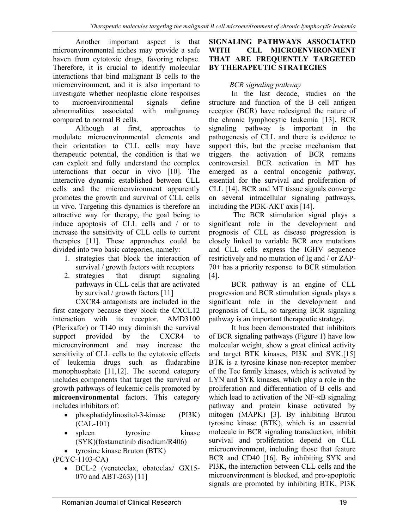Another important aspect is that microenvironmental niches may provide a safe haven from cytotoxic drugs, favoring relapse. Therefore, it is crucial to identify molecular interactions that bind malignant B cells to the microenvironment, and it is also important to investigate whether neoplastic clone responses to microenvironmental signals define abnormalities associated with malignancy compared to normal B cells.

 Although at first, approaches to modulate microenvironmental elements and their orientation to CLL cells may have therapeutic potential, the condition is that we can exploit and fully understand the complex interactions that occur in vivo [10]. The interactive dynamic established between CLL cells and the microenvironment apparently promotes the growth and survival of CLL cells in vivo. Targeting this dynamics is therefore an attractive way for therapy, the goal being to induce apoptosis of CLL cells and / or to increase the sensitivity of CLL cells to current therapies [11]. These approaches could be divided into two basic categories, namely:

- 1. strategies that block the interaction of survival / growth factors with receptors
- 2. strategies that disrupt signaling pathways in CLL cells that are activated by survival / growth factors [11]

 CXCR4 antagonists are included in the first category because they block the CXCL12 interaction with its receptor. AMD3100 (Plerixafor) or T140 may diminish the survival support provided by the CXCR4 to microenvironment and may increase the sensitivity of CLL cells to the cytotoxic effects of leukemia drugs such as fludarabine monophosphate [11,12]. The second category includes components that target the survival or growth pathways of leukemic cells promoted by **microenvironmental** factors. This category includes inhibitors of:

- phosphatidylinositol-3-kinase (PI3K) (CAL-101)
- spleen tyrosine kinase (SYK)(fostamatinib disodium/R406)
- tyrosine kinase Bruton (BTK)

(PCYC-1103-CA)

 BCL-2 (venetoclax, obatoclax/ GX15- 070 and ABT-263) [11]

#### **SIGNALING PATHWAYS ASSOCIATED WITH CLL MICROENVIRONMENT THAT ARE FREQUENTLY TARGETED BY THERAPEUTIC STRATEGIES**

### *BCR signaling pathway*

 In the last decade, studies on the structure and function of the B cell antigen receptor (BCR) have redesigned the nature of the chronic lymphocytic leukemia [13]. BCR signaling pathway is important in the pathogenesis of CLL and there is evidence to support this, but the precise mechanism that triggers the activation of BCR remains controversial. BCR activation in MT has emerged as a central oncogenic pathway, essential for the survival and proliferation of CLL [14]. BCR and MT tissue signals converge on several intracellular signaling pathways, including the PI3K-AKT axis [14].

 The BCR stimulation signal plays a significant role in the development and prognosis of CLL as disease progression is closely linked to variable BCR area mutations and CLL cells express the IGHV sequence restrictively and no mutation of Ig and / or ZAP-70+ has a priority response to BCR stimulation [4].

 BCR pathway is an engine of CLL progression and BCR stimulation signals plays a significant role in the development and prognosis of CLL, so targeting BCR signaling pathway is an important therapeutic strategy.

 It has been demonstrated that inhibitors of BCR signaling pathways (Figure 1) have low molecular weight, show a great clinical activity and target BTK kinases, PI3K and SYK.[15] BTK is a tyrosine kinase non-receptor member of the Tec family kinases, which is activated by LYN and SYK kinases, which play a role in the proliferation and differentiation of B cells and which lead to activation of the NF-κB signaling pathway and protein kinase activated by mitogen (MAPK) [3]. By inhibiting Bruton tyrosine kinase (BTK), which is an essential molecule in BCR signaling transduction, inhibit survival and proliferation depend on CLL microenvironment, including those that feature BCR and CD40 [16]. By inhibiting SYK and PI3K, the interaction between CLL cells and the microenvironment is blocked, and pro-apoptotic signals are promoted by inhibiting BTK, PI3K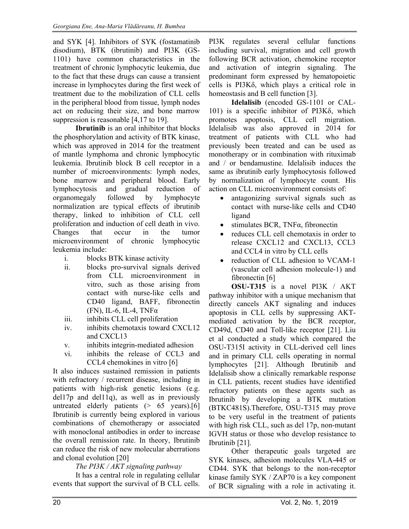and SYK [4]. Inhibitors of SYK (fostamatinib disodium), BTK (ibrutinib) and PI3K (GS-1101) have common characteristics in the treatment of chronic lymphocytic leukemia, due to the fact that these drugs can cause a transient increase in lymphocytes during the first week of treatment due to the mobilization of CLL cells in the peripheral blood from tissue, lymph nodes act on reducing their size, and bone marrow suppression is reasonable [4,17 to 19].

**Ibrutinib** is an oral inhibitor that blocks the phosphorylation and activity of BTK kinase, which was approved in 2014 for the treatment of mantle lymphoma and chronic lymphocytic leukemia. Ibrutinib block B cell receptor in a number of microenvironments: lymph nodes, bone marrow and peripheral blood. Early lymphocytosis and gradual reduction of organomegaly followed by lymphocyte normalization are typical effects of ibrutinib therapy, linked to inhibition of CLL cell proliferation and induction of cell death in vivo. Changes that occur in the tumor microenvironment of chronic lymphocytic leukemia include:

- i. blocks BTK kinase activity
- ii. blocks pro-survival signals derived from CLL microenvironment in vitro, such as those arising from contact with nurse-like cells and CD40 ligand, BAFF, fibronectin (FN), IL-6, IL-4, TNF $\alpha$
- iii. inhibits CLL cell proliferation
- iv. inhibits chemotaxis toward CXCL12 and CXCL13
- v. inhibits integrin-mediated adhesion
- vi. inhibits the release of CCL3 and CCL4 chemokines in vitro [6]

It also induces sustained remission in patients with refractory / recurrent disease, including in patients with high-risk genetic lesions (e.g. del17p and del11q), as well as in previously untreated elderly patients (> 65 years).[6] Ibrutinib is currently being explored in various combinations of chemotherapy or associated with monoclonal antibodies in order to increase the overall remission rate. In theory, Ibrutinib can reduce the risk of new molecular aberrations and clonal evolution [20]

*The PI3K / AKT signaling pathway* 

 It has a central role in regulating cellular events that support the survival of B CLL cells. PI3K regulates several cellular functions including survival, migration and cell growth following BCR activation, chemokine receptor and activation of integrin signaling. The predominant form expressed by hematopoietic cells is PI3Kδ, which plays a critical role in homeostasis and B cell function [3].

**Idelalisib** (encoded GS-1101 or CAL-101) is a specific inhibitor of PI3Kδ, which promotes apoptosis, CLL cell migration. Idelalisib was also approved in 2014 for treatment of patients with CLL who had previously been treated and can be used as monotherapy or in combination with rituximab and / or bendamustine. Idelalisib induces the same as ibrutinib early lymphocytosis followed by normalization of lymphocyte count. His action on CLL microenvironment consists of:

- antagonizing survival signals such as contact with nurse-like cells and CD40 ligand
- stimulates BCR, TNFα, fibronectin
- reduces CLL cell chemotaxis in order to release CXCL12 and CXCL13, CCL3 and CCL4 in vitro by CLL cells
- reduction of CLL adhesion to VCAM-1 (vascular cell adhesion molecule-1) and fibronectin [6]

**OSU-T315** is a novel PI3K / AKT pathway inhibitor with a unique mechanism that directly cancels AKT signaling and induces apoptosis in CLL cells by suppressing AKTmediated activation by the BCR receptor, CD49d, CD40 and Toll-like receptor [21]. Liu et al conducted a study which compared the OSU-T315I activity in CLL-derived cell lines and in primary CLL cells operating in normal lymphocytes [21]. Although Ibrutinib and Idelalisib show a clinically remarkable response in CLL patients, recent studies have identified refractory patients on these agents such as Ibrutinib by developing a BTK mutation (BTKC481S).Therefore, OSU-T315 may prove to be very useful in the treatment of patients with high risk CLL, such as del 17p, non-mutant IGVH status or those who develop resistance to Ibrutinib [21].

 Other therapeutic goals targeted are SYK kinases, adhesion molecules VLA-445 or CD44. SYK that belongs to the non-receptor kinase family SYK / ZAP70 is a key component of BCR signaling with a role in activating it.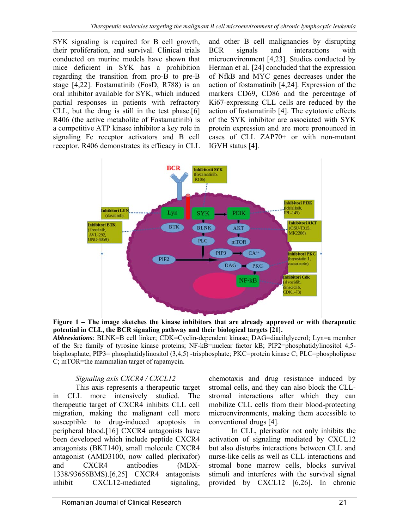SYK signaling is required for B cell growth, their proliferation, and survival. Clinical trials conducted on murine models have shown that mice deficient in SYK has a prohibition regarding the transition from pro-B to pre-B stage [4,22]. Fostamatinib (FosD, R788) is an oral inhibitor available for SYK, which induced partial responses in patients with refractory CLL, but the drug is still in the test phase.[6] R406 (the active metabolite of Fostamatinib) is a competitive ATP kinase inhibitor a key role in signaling Fc receptor activators and B cell receptor. R406 demonstrates its efficacy in CLL

and other B cell malignancies by disrupting BCR signals and interactions with microenvironment [4,23]. Studies conducted by Herman et al. [24] concluded that the expression of NfkB and MYC genes decreases under the action of fostamatinib [4,24]. Expression of the markers CD69, CD86 and the percentage of Ki67-expressing CLL cells are reduced by the action of fostamatinib [4]. The cytotoxic effects of the SYK inhibitor are associated with SYK protein expression and are more pronounced in cases of CLL ZAP70+ or with non-mutant IGVH status [4].





*Abbreviations*: BLNK=B cell linker; CDK=Cyclin-dependent kinase; DAG=diacilglycerol; Lyn=a member of the Src family of tyrosine kinase proteins; NF-kB=nuclear factor kB; PIP2=phosphatidylinositol 4,5 bisphosphate; PIP3= phosphatidylinositol (3,4,5) -trisphosphate; PKC=protein kinase C; PLC=phospholipase C; mTOR=the mammalian target of rapamycin.

### *Signaling axis CXCR4 / CXCL12*

 This axis represents a therapeutic target in CLL more intensively studied. The therapeutic target of CXCR4 inhibits CLL cell migration, making the malignant cell more susceptible to drug-induced apoptosis in peripheral blood.[16] CXCR4 antagonists have been developed which include peptide CXCR4 antagonists (BKT140), small molecule CXCR4 antagonist (AMD3100, now called plerixafor) and CXCR4 antibodies (MDX-1338/93656BMS).[6,25] CXCR4 antagonists inhibit CXCL12-mediated signaling,

chemotaxis and drug resistance induced by stromal cells, and they can also block the CLLstromal interactions after which they can mobilize CLL cells from their blood-protecting microenvironments, making them accessible to conventional drugs [4].

 In CLL, plerixafor not only inhibits the activation of signaling mediated by CXCL12 but also disturbs interactions between CLL and nurse-like cells as well as CLL interactions and stromal bone marrow cells, blocks survival stimuli and interferes with the survival signal provided by CXCL12 [6,26]. In chronic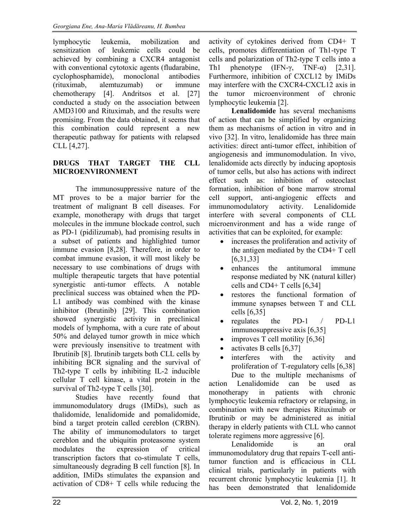lymphocytic leukemia, mobilization and sensitization of leukemic cells could be achieved by combining a CXCR4 antagonist with conventional cytotoxic agents (fludarabine, cyclophosphamide), monoclonal antibodies (rituximab, alemtuzumab) or immune chemotherapy [4]. Andritsos et al. [27] conducted a study on the association between AMD3100 and Rituximab, and the results were promising. From the data obtained, it seems that this combination could represent a new therapeutic pathway for patients with relapsed CLL [4,27].

#### **DRUGS THAT TARGET THE CLL MICROENVIRONMENT**

The immunosuppressive nature of the MT proves to be a major barrier for the treatment of malignant B cell diseases. For example, monotherapy with drugs that target molecules in the immune blockade control, such as PD-1 (pidilizumab), had promising results in a subset of patients and highlighted tumor immune evasion [8,28]. Therefore, in order to combat immune evasion, it will most likely be necessary to use combinations of drugs with multiple therapeutic targets that have potential synergistic anti-tumor effects. A notable preclinical success was obtained when the PD-L1 antibody was combined with the kinase inhibitor (Ibrutinib) [29]. This combination showed synergistic activity in preclinical models of lymphoma, with a cure rate of about 50% and delayed tumor growth in mice which were previously insensitive to treatment with Ibrutinib [8]. Ibrutinib targets both CLL cells by inhibiting BCR signaling and the survival of Th2-type T cells by inhibiting IL-2 inducible cellular T cell kinase, a vital protein in the survival of Th2-type T cells [30].

Studies have recently found that immunomodulatory drugs (IMiDs), such as thalidomide, lenalidomide and pomalidomide, bind a target protein called cereblon (CRBN). The ability of immunomodulators to target cereblon and the ubiquitin proteasome system modulates the expression of critical transcription factors that co-stimulate T cells, simultaneously degrading B cell function [8]. In addition, IMiDs stimulates the expansion and activation of CD8+ T cells while reducing the

activity of cytokines derived from CD4+ T cells, promotes differentiation of Th1-type T cells and polarization of Th2-type T cells into a Th1 phenotype (IFN- $\gamma$ , TNF- $\alpha$ ) [2,31]. Furthermore, inhibition of CXCL12 by IMiDs may interfere with the CXCR4-CXCL12 axis in the tumor microenvironment of chronic lymphocytic leukemia [2].

**Lenalidomide** has several mechanisms of action that can be simplified by organizing them as mechanisms of action in vitro and in vivo [32]. In vitro, lenalidomide has three main activities: direct anti-tumor effect, inhibition of angiogenesis and immunomodulation. In vivo, lenalidomide acts directly by inducing apoptosis of tumor cells, but also has actions with indirect effect such as: inhibition of osteoclast formation, inhibition of bone marrow stromal cell support, anti-angiogenic effects and immunomodulatory activity. Lenalidomide interfere with several components of CLL microenvironment and has a wide range of activities that can be exploited, for example:

- increases the proliferation and activity of the antigen mediated by the CD4+ T cell [6,31,33]
- enhances the antitumoral immune response mediated by NK (natural killer) cells and CD4+ T cells [6,34]
- restores the functional formation of immune synapses between T and CLL cells [6,35]
- regulates the PD-1 / PD-L1 immunosuppressive axis [6,35]
- improves T cell motility [6,36]
- activates B cells [6,37]
- interferes with the activity and proliferation of T-regulatory cells [6,38]

Due to the multiple mechanisms of action Lenalidomide can be used as monotherapy in patients with chronic lymphocytic leukemia refractory or relapsing, in combination with new therapies Rituximab or Ibrutinib or may be administered as initial therapy in elderly patients with CLL who cannot tolerate regimens more aggressive [6].

Lenalidomide is an oral immunomodulatory drug that repairs T-cell antitumor function and is efficacious in CLL clinical trials, particularly in patients with recurrent chronic lymphocytic leukemia [1]. It has been demonstrated that lenalidomide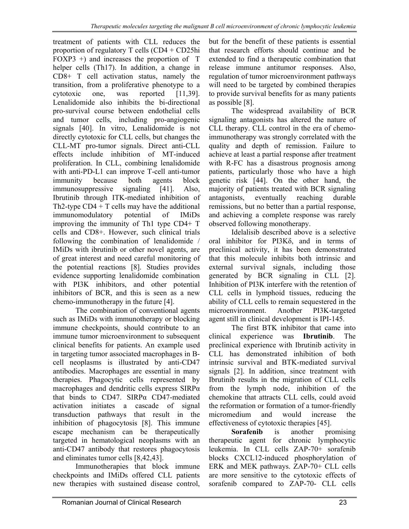treatment of patients with CLL reduces the proportion of regulatory T cells (CD4 + CD25hi FOXP3 +) and increases the proportion of T helper cells (Th17). In addition, a change in CD8+ T cell activation status, namely the transition, from a proliferative phenotype to a cytotoxic one, was reported [11,39]. Lenalidomide also inhibits the bi-directional pro-survival course between endothelial cells and tumor cells, including pro-angiogenic signals [40]. In vitro, Lenalidomide is not directly cytotoxic for CLL cells, but changes the CLL-MT pro-tumor signals. Direct anti-CLL effects include inhibition of MT-induced proliferation. In CLL, combining lenalidomide with anti-PD-L1 can improve T-cell anti-tumor immunity because both agents block immunosuppressive signaling [41]. Also, Ibrutinib through ITK-mediated inhibition of Th2-type  $CD4 + T$  cells may have the additional immunomodulatory potential of IMiDs improving the immunity of Th1 type CD4+ T cells and CD8+. However, such clinical trials following the combination of lenalidomide / IMiDs with ibrutinib or other novel agents, are of great interest and need careful monitoring of the potential reactions [8]. Studies provides evidence supporting lenalidomide combination with PI3K inhibitors, and other potential inhibitors of BCR, and this is seen as a new chemo-immunotherapy in the future [4].

The combination of conventional agents such as IMiDs with immunotherapy or blocking immune checkpoints, should contribute to an immune tumor microenvironment to subsequent clinical benefits for patients. An example used in targeting tumor associated macrophages in Bcell neoplasms is illustrated by anti-CD47 antibodies. Macrophages are essential in many therapies. Phagocytic cells represented by macrophages and dendritic cells express SIRPα that binds to CD47. SIRPα CD47-mediated activation initiates a cascade of signal transduction pathways that result in the inhibition of phagocytosis [8]. This immune escape mechanism can be therapeutically targeted in hematological neoplasms with an anti-CD47 antibody that restores phagocytosis and eliminates tumor cells [8,42,43].

Immunotherapies that block immune checkpoints and IMiDs offered CLL patients new therapies with sustained disease control, but for the benefit of these patients is essential that research efforts should continue and be extended to find a therapeutic combination that release immune antitumor responses. Also, regulation of tumor microenvironment pathways will need to be targeted by combined therapies to provide survival benefits for as many patients as possible [8].

The widespread availability of BCR signaling antagonists has altered the nature of CLL therapy. CLL control in the era of chemoimmunotherapy was strongly correlated with the quality and depth of remission. Failure to achieve at least a partial response after treatment with R-FC has a disastrous prognosis among patients, particularly those who have a high genetic risk [44]. On the other hand, the majority of patients treated with BCR signaling antagonists, eventually reaching durable remissions, but no better than a partial response, and achieving a complete response was rarely observed following monotherapy.

Idelalisib described above is a selective oral inhibitor for PI3Kδ, and in terms of preclinical activity, it has been demonstrated that this molecule inhibits both intrinsic and external survival signals, including those generated by BCR signaling in CLL [2]. Inhibition of PI3K interfere with the retention of CLL cells in lymphoid tissues, reducing the ability of CLL cells to remain sequestered in the microenvironment. Another PI3K-targeted agent still in clinical development is IPI-145.

The first BTK inhibitor that came into clinical experience was **Ibrutinib**. The preclinical experience with Ibrutinib activity in CLL has demonstrated inhibition of both intrinsic survival and BTK-mediated survival signals [2]. In addition, since treatment with Ibrutinib results in the migration of CLL cells from the lymph node, inhibition of the chemokine that attracts CLL cells, could avoid the reformation or formation of a tumor-friendly micromedium and would increase the effectiveness of cytotoxic therapies [45].

**Sorafenib** is another promising therapeutic agent for chronic lymphocytic leukemia. In CLL cells ZAP-70+ sorafenib blocks CXCL12-induced phosphorylation of ERK and MEK pathways. ZAP-70+ CLL cells are more sensitive to the cytotoxic effects of sorafenib compared to ZAP-70- CLL cells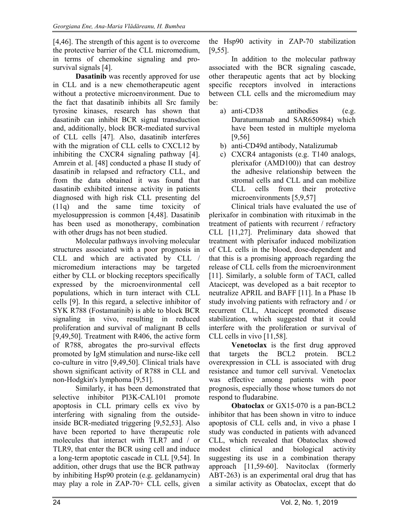[4,46]. The strength of this agent is to overcome the protective barrier of the CLL micromedium, in terms of chemokine signaling and prosurvival signals [4].

**Dasatinib** was recently approved for use in CLL and is a new chemotherapeutic agent without a protective microenvironment. Due to the fact that dasatinib inhibits all Src family tyrosine kinases, research has shown that dasatinib can inhibit BCR signal transduction and, additionally, block BCR-mediated survival of CLL cells [47]. Also, dasatinib interferes with the migration of CLL cells to CXCL12 by inhibiting the CXCR4 signaling pathway [4]. Amrein et al. [48] conducted a phase II study of dasatinib in relapsed and refractory CLL, and from the data obtained it was found that dasatinib exhibited intense activity in patients diagnosed with high risk CLL presenting del (11q) and the same time toxicity of myelosuppression is common [4,48]. Dasatinib has been used as monotherapy, combination with other drugs has not been studied.

Molecular pathways involving molecular structures associated with a poor prognosis in CLL and which are activated by CLL / micromedium interactions may be targeted either by CLL or blocking receptors specifically expressed by the microenvironmental cell populations, which in turn interact with CLL cells [9]. In this regard, a selective inhibitor of SYK R788 (Fostamatinib) is able to block BCR signaling in vivo, resulting in reduced proliferation and survival of malignant B cells [9,49,50]. Treatment with R406, the active form of R788, abrogates the pro-survival effects promoted by IgM stimulation and nurse-like cell co-culture in vitro [9,49,50]. Clinical trials have shown significant activity of R788 in CLL and non-Hodgkin's lymphoma [9,51].

Similarly, it has been demonstrated that selective inhibitor PI3K-CAL101 promote apoptosis in CLL primary cells ex vivo by interfering with signaling from the outsideinside BCR-mediated triggering [9,52,53]. Also have been reported to have therapeutic role molecules that interact with TLR7 and / or TLR9, that enter the BCR using cell and induce a long-term apoptotic cascade in CLL [9,54]. In addition, other drugs that use the BCR pathway by inhibiting Hsp90 protein (e.g. geldanamycin) may play a role in ZAP-70+ CLL cells, given the Hsp90 activity in ZAP-70 stabilization [9,55].

In addition to the molecular pathway associated with the BCR signaling cascade, other therapeutic agents that act by blocking specific receptors involved in interactions between CLL cells and the micromedium may be:

- a) anti-CD38 antibodies (e.g. Daratumumab and SAR650984) which have been tested in multiple myeloma [9,56]
- b) anti-CD49d antibody, Natalizumab
- c) CXCR4 antagonists (e.g. T140 analogs, plerixafor (AMD100)) that can destroy the adhesive relationship between the stromal cells and CLL and can mobilize CLL cells from their protective microenvironments [5,9,57]

Clinical trials have evaluated the use of plerixafor in combination with rituximab in the treatment of patients with recurrent / refractory CLL [11,27]. Preliminary data showed that treatment with plerixafor induced mobilization of CLL cells in the blood, dose-dependent and that this is a promising approach regarding the release of CLL cells from the microenvironment [11]. Similarly, a soluble form of TACI, called Atacicept, was developed as a bait receptor to neutralize APRIL and BAFF [11]. In a Phase 1b study involving patients with refractory and / or recurrent CLL, Atacicept promoted disease stabilization, which suggested that it could interfere with the proliferation or survival of CLL cells in vivo [11,58].

**Venetoclax** is the first drug approved that targets the BCL2 protein. BCL2 overexpression in CLL is associated with drug resistance and tumor cell survival. Venetoclax was effective among patients with poor prognosis, especially those whose tumors do not respond to fludarabine.

**Obatoclax** or GX15-070 is a pan-BCL2 inhibitor that has been shown in vitro to induce apoptosis of CLL cells and, in vivo a phase I study was conducted in patients with advanced CLL, which revealed that Obatoclax showed modest clinical and biological activity suggesting its use in a combination therapy approach [11,59-60]. Navitoclax (formerly ABT-263) is an experimental oral drug that has a similar activity as Obatoclax, except that do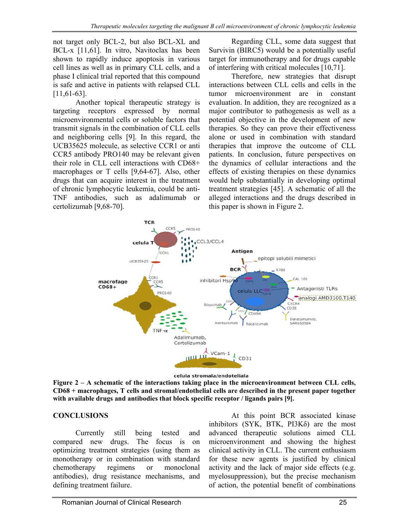not target only BCL-2, but also BCL-XL and BCL-x [11,61]. In vitro, Navitoclax has been shown to rapidly induce apoptosis in various cell lines as well as in primary CLL cells, and a phase I clinical trial reported that this compound is safe and active in patients with relapsed CLL [11,61-63].

Another topical therapeutic strategy is targeting receptors expressed by normal microenvironmental cells or soluble factors that transmit signals in the combination of CLL cells and neighboring cells [9]. In this regard, the UCB35625 molecule, as selective CCR1 or anti CCR5 antibody PRO140 may be relevant given their role in CLL cell interactions with CD68+ macrophages or T cells [9,64-67]. Also, other drugs that can acquire interest in the treatment of chronic lymphocytic leukemia, could be anti-TNF antibodies, such as adalimumab or certolizumab [9,68-70].

Regarding CLL, some data suggest that Survivin (BIRC5) would be a potentially useful target for immunotherapy and for drugs capable of interfering with critical molecules [10,71].

Therefore, new strategies that disrupt interactions between CLL cells and cells in the tumor microenvironment are in constant evaluation. In addition, they are recognized as a major contributor to pathogenesis as well as a potential objective in the development of new therapies. So they can prove their effectiveness alone or used in combination with standard therapies that improve the outcome of CLL patients. In conclusion, future perspectives on the dynamics of cellular interactions and the effects of existing therapies on these dynamics would help substantially in developing optimal treatment strategies [45]. A schematic of all the alleged interactions and the drugs described in this paper is shown in Figure 2.



celula stromala/endoteliala **Figure 2 – A schematic of the interactions taking place in the microenvironment between CLL cells, CD68 + macrophages, T cells and stromal/endothelial cells are described in the present paper together with available drugs and antibodies that block specific receptor / ligands pairs [9].** 

### **CONCLUSIONS**

 Currently still being tested and compared new drugs. The focus is on optimizing treatment strategies (using them as monotherapy or in combination with standard chemotherapy regimens or monoclonal antibodies), drug resistance mechanisms, and defining treatment failure.

 At this point BCR associated kinase inhibitors (SYK, BTK, PI3Kδ) are the most advanced therapeutic solutions aimed CLL microenvironment and showing the highest clinical activity in CLL. The current enthusiasm for these new agents is justified by clinical activity and the lack of major side effects (e.g. myelosuppression), but the precise mechanism of action, the potential benefit of combinations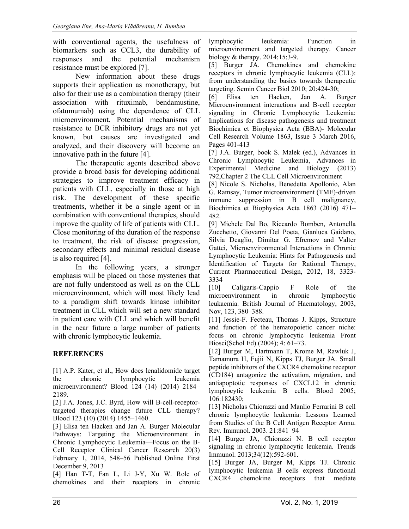with conventional agents, the usefulness of biomarkers such as CCL3, the durability of responses and the potential mechanism resistance must be explored [7].

 New information about these drugs supports their application as monotherapy, but also for their use as a combination therapy (their association with rituximab, bendamustine, ofatumumab) using the dependence of CLL microenvironment. Potential mechanisms of resistance to BCR inhibitory drugs are not yet known, but causes are investigated and analyzed, and their discovery will become an innovative path in the future [4].

 The therapeutic agents described above provide a broad basis for developing additional strategies to improve treatment efficacy in patients with CLL, especially in those at high risk. The development of these specific treatments, whether it be a single agent or in combination with conventional therapies, should improve the quality of life of patients with CLL. Close monitoring of the duration of the response to treatment, the risk of disease progression, secondary effects and minimal residual disease is also required [4].

 In the following years, a stronger emphasis will be placed on those mysteries that are not fully understood as well as on the CLL microenvironment, which will most likely lead to a paradigm shift towards kinase inhibitor treatment in CLL which will set a new standard in patient care with CLL and which will benefit in the near future a large number of patients with chronic lymphocytic leukemia.

## **REFERENCES**

[1] A.P. Kater, et al., How does lenalidomide target the chronic lymphocytic leukemia microenvironment? Blood 124 (14) (2014) 2184– 2189.

[2] J.A. Jones, J.C. Byrd, How will B-cell-receptortargeted therapies change future CLL therapy? Blood 123 (10) (2014) 1455–1460.

[3] Elisa ten Hacken and Jan A. Burger Molecular Pathways: Targeting the Microenvironment in Chronic Lymphocytic Leukemia—Focus on the B-Cell Receptor Clinical Cancer Research 20(3) February 1, 2014, 548–56 Published Online First December 9, 2013

[4] Han T-T, Fan L, Li J-Y, Xu W. Role of chemokines and their receptors in chronic lymphocytic leukemia: Function in microenvironment and targeted therapy. Cancer biology & therapy. 2014;15:3-9.

[5] Burger JA. Chemokines and chemokine receptors in chronic lymphocytic leukemia (CLL): from understanding the basics towards therapeutic targeting. Semin Cancer Biol 2010; 20:424-30;

[6] Elisa ten Hacken, Jan A. Burger Microenvironment interactions and B-cell receptor signaling in Chronic Lymphocytic Leukemia: Implications for disease pathogenesis and treatment Biochimica et Biophysica Acta (BBA)- Molecular Cell Research Volume 1863, Issue 3 March 2016, Pages 401-413

[7] J.A. Burger, book S. Malek (ed.), Advances in Chronic Lymphocytic Leukemia, Advances in Experimental Medicine and Biology (2013) 792,Chapter 2 The CLL Cell Microenvironment

[8] Nicole S. Nicholas, Benedetta Apollonio, Alan G. Ramsay, Tumor microenvironment (TME)-driven immune suppression in B cell malignancy, Biochimica et Biophysica Acta 1863 (2016) 471– 482.

[9] Michele Dal Bo, Riccardo Bomben, Antonella Zucchetto, Giovanni Del Poeta, Gianluca Gaidano, Silvia Deaglio, Dimitar G. Efremov and Valter Gattei, Microenvironmental Interactions in Chronic Lymphocytic Leukemia: Hints for Pathogenesis and Identification of Targets for Rational Therapy, Current Pharmaceutical Design, 2012, 18, 3323- 3334

[10] Caligaris-Cappio F Role of the microenvironment in chronic lymphocytic leukaemia. British Journal of Haematology, 2003, Nov, 123, 380–388.

[11] Jessie-F. Fecteau, Thomas J. Kipps, Structure and function of the hematopoietic cancer niche: focus on chronic lymphocytic leukemia Front Biosci(Schol Ed).(2004); 4: 61–73.

[12] Burger M, Hartmann T, Krome M, Rawluk J, Tamamura H, Fujii N, Kipps TJ, Burger JA. Small peptide inhibitors of the CXCR4 chemokine receptor (CD184) antagonize the activation, migration, and antiapoptotic responses of CXCL12 in chronic lymphocytic leukemia B cells. Blood 2005; 106:182430;

[13] Nicholas Chiorazzi and Manlio Ferrarini B cell chronic lymphocytic leukemia: Lessons Learned from Studies of the B Cell Antigen Receptor Annu. Rev. Immunol. 2003. 21:841–94

[14] Burger JA, Chiorazzi N. B cell receptor signaling in chronic lymphocytic leukemia. Trends Immunol. 2013;34(12):592-601.

[15] Burger JA, Burger M, Kipps TJ. Chronic lymphocytic leukemia B cells express functional CXCR4 chemokine receptors that mediate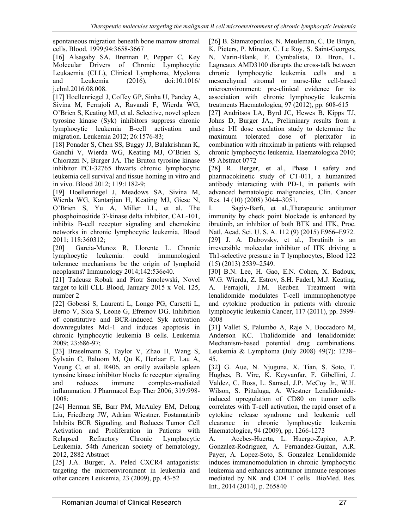spontaneous migration beneath bone marrow stromal cells. Blood. 1999;94:3658-3667

[16] Alsagaby SA, Brennan P, Pepper C, Key Molecular Drivers of Chronic Lymphocytic Leukaemia (CLL), Clinical Lymphoma, Myeloma and Leukemia (2016), doi:10.1016/ j.clml.2016.08.008.

[17] Hoellenriegel J, Coffey GP, Sinha U, Pandey A, Sivina M, Ferrajoli A, Ravandi F, Wierda WG, O'Brien S, Keating MJ, et al. Selective, novel spleen tyrosine kinase (Syk) inhibitors suppress chronic lymphocytic leukemia B-cell activation and migration. Leukemia 2012; 26:1576-83;

[18] Ponader S, Chen SS, Buggy JJ, Balakrishnan K, Gandhi V, Wierda WG, Keating MJ, O'Brien S, Chiorazzi N, Burger JA. The Bruton tyrosine kinase inhibitor PCI-32765 thwarts chronic lymphocytic leukemia cell survival and tissue homing in vitro and in vivo. Blood 2012; 119:1182-9;

[19] Hoellenriegel J, Meadows SA, Sivina M, Wierda WG, Kantarjian H, Keating MJ, Giese N, O'Brien S, Yu A, Miller LL, et al. The phosphoinositide 3′-kinase delta inhibitor, CAL-101, inhibits B-cell receptor signaling and chemokine networks in chronic lymphocytic leukemia. Blood 2011; 118:360312;

[20] Garcia-Munoz R, Llorente L. Chronic lymphocytic leukemia: could immunological tolerance mechanisms be the origin of lymphoid neoplasms? Immunology 2014;142:536e40.

[21] Tadeusz Robak and Piotr Smolewski, Novel target to kill CLL Blood, January 2015 x Vol. 125, number 2

[22] Gobessi S, Laurenti L, Longo PG, Carsetti L, Berno V, Sica S, Leone G, Efremov DG. Inhibition of constitutive and BCR-induced Syk activation downregulates Mcl-1 and induces apoptosis in chronic lymphocytic leukemia B cells. Leukemia 2009; 23:686-97;

[23] Braselmann S, Taylor V, Zhao H, Wang S, Sylvain C, Baluom M, Qu K, Herlaar E, Lau A, Young C, et al. R406, an orally available spleen tyrosine kinase inhibitor blocks fc receptor signaling and reduces immune complex-mediated inflammation. J Pharmacol Exp Ther 2006; 319:998- 1008;

[24] Herman SE, Barr PM, McAuley EM, Delong Liu, Friedberg JW, Adrian Wiestner. Fostamatinib Inhibits BCR Signaling, and Reduces Tumor Cell Activation and Proliferation in Patients with Relapsed Refractory Chronic Lymphocytic Leukemia. 54th American society of hematology, 2012, 2882 Abstract

[25] J.A. Burger, A. Peled CXCR4 antagonists: targeting the microenvironment in leukemia and other cancers Leukemia, 23 (2009), pp. 43-52

[26] B. Stamatopoulos, N. Meuleman, C. De Bruyn, K. Pieters, P. Mineur, C. Le Roy, S. Saint-Georges, N. Varin-Blank, F. Cymbalista, D. Bron, L. Lagneaux AMD3100 disrupts the cross-talk between chronic lymphocytic leukemia cells and a mesenchymal stromal or nurse-like cell-based microenvironment: pre-clinical evidence for its association with chronic lymphocytic leukemia treatments Haematologica, 97 (2012), pp. 608-615

[27] Andritsos LA, Byrd JC, Hewes B, Kipps TJ, Johns D, Burger JA., Preliminary results from a phase I/II dose escalation study to determine the maximum tolerated dose of plerixafor in combination with rituximab in patients with relapsed chronic lymphocytic leukemia. Haematologica 2010; 95 Abstract 0772

[28] R. Berger, et al., Phase I safety and pharmacokinetic study of CT-011, a humanized antibody interacting with PD-1, in patients with advanced hematologic malignancies, Clin. Cancer Res. 14 (10) (2008) 3044–3051.

I. Sagiv-Barfi, et al.,Therapeutic antitumor immunity by check point blockade is enhanced by ibrutinib, an inhibitor of both BTK and ITK, Proc. Natl. Acad. Sci. U. S. A. 112 (9) (2015) E966–E972. [29] J. A. Dubovsky, et al., Ibrutinib is an irreversible molecular inhibitor of ITK driving a Th1-selective pressure in T lymphocytes, Blood 122 (15) (2013) 2539–2549.

[30] B.N. Lee, H. Gao, E.N. Cohen, X. Badoux, W.G. Wierda, Z. Estrov, S.H. Faderl, M.J. Keating, A. Ferrajoli, J.M. Reuben Treatment with lenalidomide modulates T-cell immunophenotype and cytokine production in patients with chronic lymphocytic leukemia Cancer, 117 (2011), pp. 3999- 4008

[31] Vallet S, Palumbo A, Raje N, Boccadoro M, Anderson KC. Thalidomide and lenalidomide: Mechanism-based potential drug combinations. Leukemia & Lymphoma (July 2008) 49(7): 1238– 45.

[32] G. Aue, N. Njuguna, X. Tian, S. Soto, T. Hughes, B. Vire, K. Keyvanfar, F. Gibellini, J. Valdez, C. Boss, L. Samsel, J.P. McCoy Jr., W.H. Wilson, S. Pittaluga, A. Wiestner Lenalidomideinduced upregulation of CD80 on tumor cells correlates with T-cell activation, the rapid onset of a cytokine release syndrome and leukemic cell clearance in chronic lymphocytic leukemia Haematologica, 94 (2009), pp. 1266-1273

A. Acebes-Huerta, L. Huergo-Zapico, A.P. Gonzalez-Rodriguez, A. Fernandez-Guizan, A.R. Payer, A. Lopez-Soto, S. Gonzalez Lenalidomide induces immunomodulation in chronic lymphocytic leukemia and enhances antitumor immune responses mediated by NK and CD4 T cells BioMed. Res. Int., 2014 (2014), p. 265840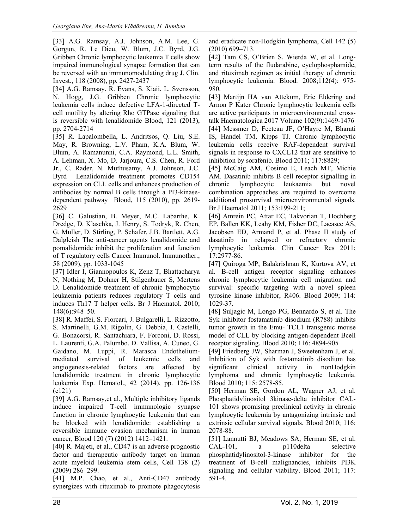[33] A.G. Ramsay, A.J. Johnson, A.M. Lee, G. Gorgun, R. Le Dieu, W. Blum, J.C. Byrd, J.G. Gribben Chronic lymphocytic leukemia T cells show impaired immunological synapse formation that can be reversed with an immunomodulating drug J. Clin. Invest., 118 (2008), pp. 2427-2437

[34] A.G. Ramsay, R. Evans, S. Kiaii, L. Svensson, N. Hogg, J.G. Gribben Chronic lymphocytic leukemia cells induce defective LFA-1-directed Tcell motility by altering Rho GTPase signaling that is reversible with lenalidomide Blood, 121 (2013), pp. 2704-2714

[35] R. Lapalombella, L. Andritsos, Q. Liu, S.E. May, R. Browning, L.V. Pham, K.A. Blum, W. Blum, A. Ramanunni, C.A. Raymond, L.L. Smith, A. Lehman, X. Mo, D. Jarjoura, C.S. Chen, R. Ford Jr., C. Rader, N. Muthusamy, A.J. Johnson, J.C. Byrd Lenalidomide treatment promotes CD154 expression on CLL cells and enhances production of antibodies by normal B cells through a PI3-kinasedependent pathway Blood, 115 (2010), pp. 2619- 2629

[36] C. Galustian, B. Meyer, M.C. Labarthe, K. Dredge, D. Klaschka, J. Henry, S. Todryk, R. Chen, G. Muller, D. Stirling, P. Schafer, J.B. Bartlett, A.G. Dalgleish The anti-cancer agents lenalidomide and pomalidomide inhibit the proliferation and function of T regulatory cells Cancer Immunol. Immunother., 58 (2009), pp. 1033-1045

[37] Idler I, Giannopoulos K, Zenz T, Bhattacharya N, Nothing M, Dohner H, Stilgenbauer S, Mertens D. Lenalidomide treatment of chronic lymphocytic leukaemia patients reduces regulatory T cells and induces Th17 T helper cells. Br J Haematol. 2010; 148(6):948–50.

[38] R. Maffei, S. Fiorcari, J. Bulgarelli, L. Rizzotto, S. Martinelli, G.M. Rigolin, G. Debbia, I. Castelli, G. Bonacorsi, R. Santachiara, F. Forconi, D. Rossi, L. Laurenti, G.A. Palumbo, D. Vallisa, A. Cuneo, G. Gaidano, M. Luppi, R. Marasca Endotheliummediated survival of leukemic cells and angiogenesis-related factors are affected by lenalidomide treatment in chronic lymphocytic leukemia Exp. Hematol., 42 (2014), pp. 126-136 (e121)

[39] A.G. Ramsay,et al., Multiple inhibitory ligands induce impaired T-cell immunologic synapse function in chronic lymphocytic leukemia that can be blocked with lenalidomide: establishing a reversible immune evasion mechanism in human cancer, Blood 120 (7) (2012) 1412–1421.

[40] R. Majeti, et al., CD47 is an adverse prognostic factor and therapeutic antibody target on human acute myeloid leukemia stem cells, Cell 138 (2) (2009) 286–299.

[41] M.P. Chao, et al., Anti-CD47 antibody synergizes with rituximab to promote phagocytosis and eradicate non-Hodgkin lymphoma, Cell 142 (5) (2010) 699–713.

[42] Tam CS, O'Brien S, Wierda W, et al. Longterm results of the fludarabine, cyclophosphamide, and rituximab regimen as initial therapy of chronic lymphocytic leukemia. Blood. 2008;112(4): 975- 980.

[43] Martijn HA van Attekum, Eric Eldering and Arnon P Kater Chronic lymphocytic leukemia cells are active participants in microenvironmental crosstalk Haematologica 2017 Volume 102(9):1469-1476 [44] Messmer D, Fecteau JF, O'Hayre M, Bharati IS, Handel TM, Kipps TJ. Chronic lymphocytic leukemia cells receive RAF-dependent survival signals in response to CXCL12 that are sensitive to inhibition by sorafenib. Blood 2011; 117:8829;

[45] McCaig AM, Cosimo E, Leach MT, Michie AM. Dasatinib inhibits B cell receptor signalling in chronic lymphocytic leukaemia but novel combination approaches are required to overcome additional prosurvival microenvironmental signals. Br J Haematol 2011; 153:199-211;

[46] Amrein PC, Attar EC, Takvorian T, Hochberg EP, Ballen KK, Leahy KM, Fisher DC, Lacasce AS, Jacobsen ED, Armand P, et al. Phase II study of dasatinib in relapsed or refractory chronic lymphocytic leukemia. Clin Cancer Res 2011; 17:2977-86.

[47] Quiroga MP, Balakrishnan K, Kurtova AV, et al. B-cell antigen receptor signaling enhances chronic lymphocytic leukemia cell migration and survival: specific targeting with a novel spleen tyrosine kinase inhibitor, R406. Blood 2009; 114: 1029-37.

[48] Suljagic M, Longo PG, Bennardo S, et al. The Syk inhibitor fostamatinib disodium (R788) inhibits tumor growth in the Emu- TCL1 transgenic mouse model of CLL by blocking antigen-dependent Bcell receptor signaling. Blood 2010; 116: 4894-905

[49] Friedberg JW, Sharman J, Sweetenham J, et al. Inhibition of Syk with fostamatinib disodium has significant clinical activity in nonHodgkin lymphoma and chronic lymphocytic leukemia. Blood 2010; 115: 2578-85.

[50] Herman SE, Gordon AL, Wagner AJ, et al. Phosphatidylinositol 3kinase-delta inhibitor CAL-101 shows promising preclinical activity in chronic lymphocytic leukemia by antagonizing intrinsic and extrinsic cellular survival signals. Blood 2010; 116: 2078-88.

[51] Lannutti BJ, Meadows SA, Herman SE, et al. CAL-101, a p110delta selective phosphatidylinositol-3-kinase inhibitor for the treatment of B-cell malignancies, inhibits PI3K signaling and cellular viability. Blood 2011; 117: 591-4.